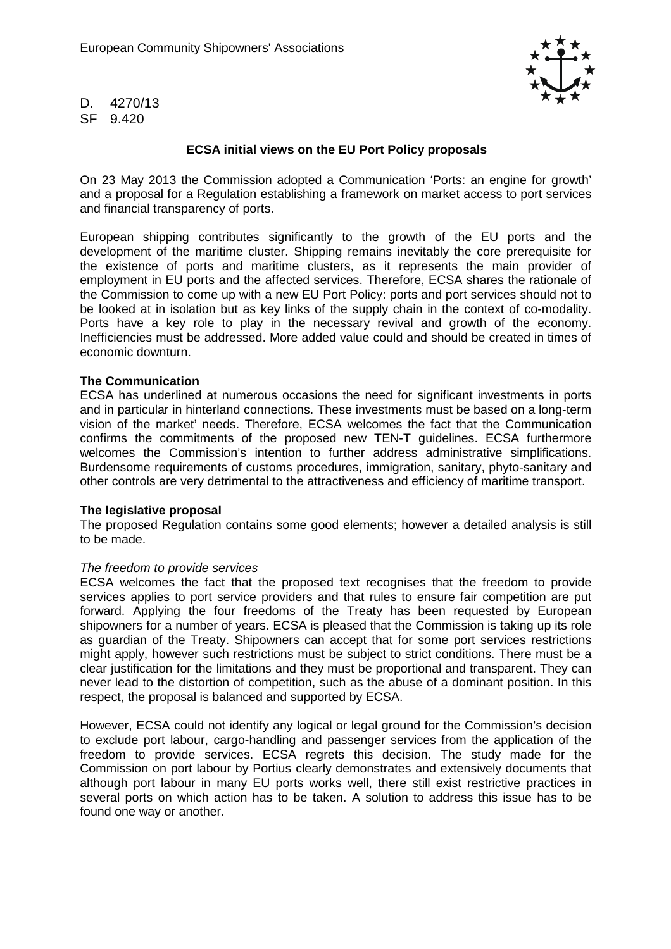

D. 4270/13 SF 9.420

# **ECSA initial views on the EU Port Policy proposals**

On 23 May 2013 the Commission adopted a Communication 'Ports: an engine for growth' and a proposal for a Regulation establishing a framework on market access to port services and financial transparency of ports.

European shipping contributes significantly to the growth of the EU ports and the development of the maritime cluster. Shipping remains inevitably the core prerequisite for the existence of ports and maritime clusters, as it represents the main provider of employment in EU ports and the affected services. Therefore, ECSA shares the rationale of the Commission to come up with a new EU Port Policy: ports and port services should not to be looked at in isolation but as key links of the supply chain in the context of co-modality. Ports have a key role to play in the necessary revival and growth of the economy. Inefficiencies must be addressed. More added value could and should be created in times of economic downturn.

## **The Communication**

ECSA has underlined at numerous occasions the need for significant investments in ports and in particular in hinterland connections. These investments must be based on a long-term vision of the market' needs. Therefore, ECSA welcomes the fact that the Communication confirms the commitments of the proposed new TEN-T guidelines. ECSA furthermore welcomes the Commission's intention to further address administrative simplifications. Burdensome requirements of customs procedures, immigration, sanitary, phyto-sanitary and other controls are very detrimental to the attractiveness and efficiency of maritime transport.

#### **The legislative proposal**

The proposed Regulation contains some good elements; however a detailed analysis is still to be made.

## The freedom to provide services

ECSA welcomes the fact that the proposed text recognises that the freedom to provide services applies to port service providers and that rules to ensure fair competition are put forward. Applying the four freedoms of the Treaty has been requested by European shipowners for a number of years. ECSA is pleased that the Commission is taking up its role as guardian of the Treaty. Shipowners can accept that for some port services restrictions might apply, however such restrictions must be subject to strict conditions. There must be a clear justification for the limitations and they must be proportional and transparent. They can never lead to the distortion of competition, such as the abuse of a dominant position. In this respect, the proposal is balanced and supported by ECSA.

However, ECSA could not identify any logical or legal ground for the Commission's decision to exclude port labour, cargo-handling and passenger services from the application of the freedom to provide services. ECSA regrets this decision. The study made for the Commission on port labour by Portius clearly demonstrates and extensively documents that although port labour in many EU ports works well, there still exist restrictive practices in several ports on which action has to be taken. A solution to address this issue has to be found one way or another.